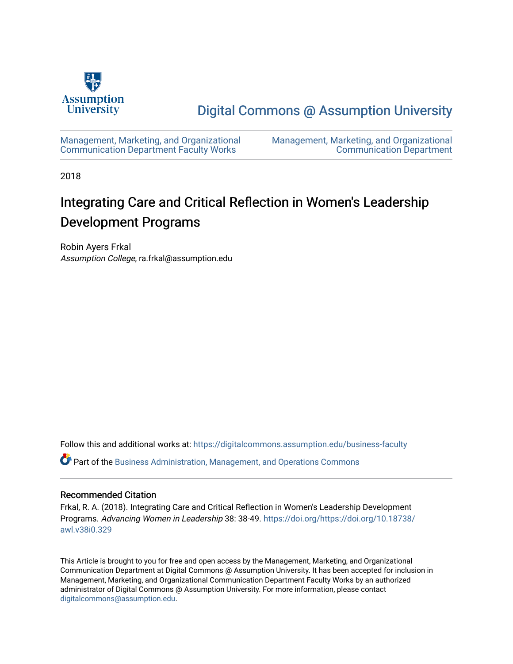

[Digital Commons @ Assumption University](https://digitalcommons.assumption.edu/) 

[Management, Marketing, and Organizational](https://digitalcommons.assumption.edu/business-faculty) [Communication Department Faculty Works](https://digitalcommons.assumption.edu/business-faculty) 

[Management, Marketing, and Organizational](https://digitalcommons.assumption.edu/business)  [Communication Department](https://digitalcommons.assumption.edu/business) 

2018

# Integrating Care and Critical Reflection in Women's Leadership Development Programs

Robin Ayers Frkal Assumption College, ra.frkal@assumption.edu

Follow this and additional works at: [https://digitalcommons.assumption.edu/business-faculty](https://digitalcommons.assumption.edu/business-faculty?utm_source=digitalcommons.assumption.edu%2Fbusiness-faculty%2F5&utm_medium=PDF&utm_campaign=PDFCoverPages)

Part of the [Business Administration, Management, and Operations Commons](http://network.bepress.com/hgg/discipline/623?utm_source=digitalcommons.assumption.edu%2Fbusiness-faculty%2F5&utm_medium=PDF&utm_campaign=PDFCoverPages)

#### Recommended Citation

Frkal, R. A. (2018). Integrating Care and Critical Reflection in Women's Leadership Development Programs. Advancing Women in Leadership 38: 38-49. [https://doi.org/https://doi.org/10.18738/](https://doi.org/https://doi.org/10.18738/awl.v38i0.329) [awl.v38i0.329](https://doi.org/https://doi.org/10.18738/awl.v38i0.329) 

This Article is brought to you for free and open access by the Management, Marketing, and Organizational Communication Department at Digital Commons @ Assumption University. It has been accepted for inclusion in Management, Marketing, and Organizational Communication Department Faculty Works by an authorized administrator of Digital Commons @ Assumption University. For more information, please contact [digitalcommons@assumption.edu](mailto:digitalcommons@assumption.edu).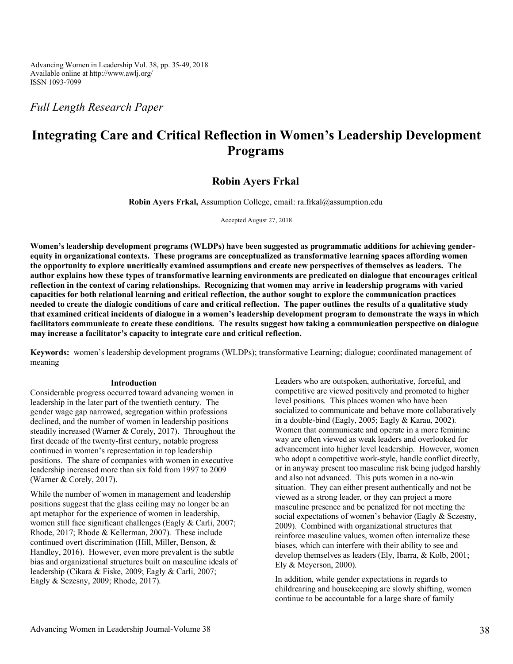Advancing Women in Leadership Vol. 38, pp. 35-49, 2018 Available online at http://www.awlj.org/ ISSN 1093-7099

*Full Length Research Paper* 

## **Integrating Care and Critical Reflection in Women's Leadership Development Programs**

### **Robin Ayers Frkal**

**Robin Ayers Frkal,** Assumption College, email: ra.frkal@assumption.edu

Accepted August 27, 2018

**Women's leadership development programs (WLDPs) have been suggested as programmatic additions for achieving genderequity in organizational contexts. These programs are conceptualized as transformative learning spaces affording women the opportunity to explore uncritically examined assumptions and create new perspectives of themselves as leaders. The author explains how these types of transformative learning environments are predicated on dialogue that encourages critical reflection in the context of caring relationships. Recognizing that women may arrive in leadership programs with varied capacities for both relational learning and critical reflection, the author sought to explore the communication practices needed to create the dialogic conditions of care and critical reflection. The paper outlines the results of a qualitative study that examined critical incidents of dialogue in a women's leadership development program to demonstrate the ways in which facilitators communicate to create these conditions. The results suggest how taking a communication perspective on dialogue may increase a facilitator's capacity to integrate care and critical reflection.** 

**Keywords:** women's leadership development programs (WLDPs); transformative Learning; dialogue; coordinated management of meaning

#### **Introduction**

Considerable progress occurred toward advancing women in leadership in the later part of the twentieth century. The gender wage gap narrowed, segregation within professions declined, and the number of women in leadership positions steadily increased (Warner & Corely, 2017). Throughout the first decade of the twenty-first century, notable progress continued in women's representation in top leadership positions. The share of companies with women in executive leadership increased more than six fold from 1997 to 2009 (Warner & Corely, 2017).

While the number of women in management and leadership positions suggest that the glass ceiling may no longer be an apt metaphor for the experience of women in leadership, women still face significant challenges (Eagly & Carli, 2007; Rhode, 2017; Rhode & Kellerman, 2007). These include continued overt discrimination (Hill, Miller, Benson, & Handley, 2016). However, even more prevalent is the subtle bias and organizational structures built on masculine ideals of leadership (Cikara & Fiske, 2009; Eagly & Carli, 2007; Eagly & Sczesny, 2009; Rhode, 2017).

Leaders who are outspoken, authoritative, forceful, and competitive are viewed positively and promoted to higher level positions. This places women who have been socialized to communicate and behave more collaboratively in a double-bind (Eagly, 2005; Eagly & Karau, 2002). Women that communicate and operate in a more feminine way are often viewed as weak leaders and overlooked for advancement into higher level leadership. However, women who adopt a competitive work-style, handle conflict directly, or in anyway present too masculine risk being judged harshly and also not advanced. This puts women in a no-win situation. They can either present authentically and not be viewed as a strong leader, or they can project a more masculine presence and be penalized for not meeting the social expectations of women's behavior (Eagly & Sczesny, 2009). Combined with organizational structures that reinforce masculine values, women often internalize these biases, which can interfere with their ability to see and develop themselves as leaders (Ely, Ibarra, & Kolb, 2001; Ely & Meyerson, 2000).

In addition, while gender expectations in regards to childrearing and housekeeping are slowly shifting, women continue to be accountable for a large share of family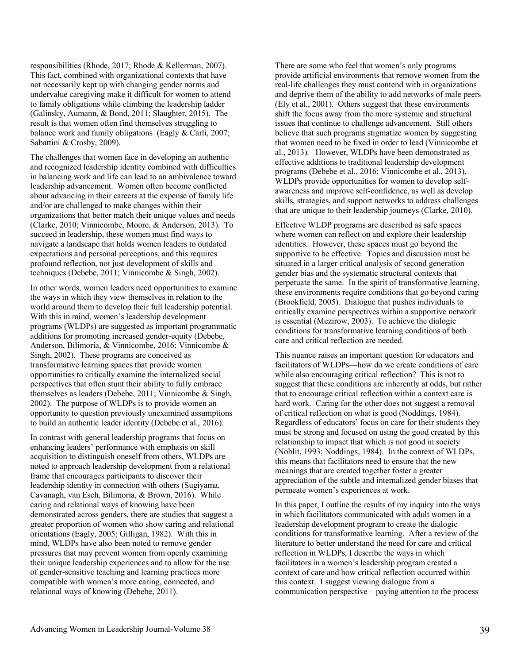responsibilities (Rhode, 2017; Rhode & Kellerman, 2007). This fact, combined with organizational contexts that have not necessarily kept up with changing gender norms and undervalue caregiving make it difficult for women to attend to family obligations while climbing the leadership ladder (Galinsky, Aumann, & Bond, 2011; Slaughter, 2015). The result is that women often find themselves struggling to balance work and family obligations (Eagly & Carli, 2007; Sabattini & Crosby, 2009).

The challenges that women face in developing an authentic and recognized leadership identity combined with difficulties in balancing work and life can lead to an ambivalence toward leadership advancement. Women often become conflicted about advancing in their careers at the expense of family life and/or are challenged to make changes within their organizations that better match their unique values and needs (Clarke, 2010; Vinnicombe, Moore, & Anderson, 2013). To succeed in leadership, these women must find ways to navigate a landscape that holds women leaders to outdated expectations and personal perceptions, and this requires profound reflection, not just development of skills and techniques (Debebe, 2011; Vinnicombe & Singh, 2002).

In other words, women leaders need opportunities to examine the ways in which they view themselves in relation to the world around them to develop their full leadership potential. With this in mind, women's leadership development programs (WLDPs) are suggested as important programmatic additions for promoting increased gender-equity (Debebe, Anderson, Bilimoria, & Vinnicombe, 2016; Vinnicombe & Singh, 2002). These programs are conceived as transformative learning spaces that provide women opportunities to critically examine the internalized social perspectives that often stunt their ability to fully embrace themselves as leaders (Debebe, 2011; Vinnicombe & Singh, 2002). The purpose of WLDPs is to provide women an opportunity to question previously unexamined assumptions to build an authentic leader identity (Debebe et al., 2016).

In contrast with general leadership programs that focus on enhancing leaders' performance with emphasis on skill acquisition to distinguish oneself from others, WLDPs are noted to approach leadership development from a relational frame that encourages participants to discover their leadership identity in connection with others (Sugiyama, Cavanagh, van Esch, Bilimoria, & Brown, 2016). While caring and relational ways of knowing have been demonstrated across genders, there are studies that suggest a greater proportion of women who show caring and relational orientations (Eagly, 2005; Gilligan, 1982). With this in mind, WLDPs have also been noted to remove gender pressures that may prevent women from openly examining their unique leadership experiences and to allow for the use of gender-sensitive teaching and learning practices more compatible with women's more caring, connected, and relational ways of knowing (Debebe, 2011).

There are some who feel that women's only programs provide artificial environments that remove women from the real-life challenges they must contend with in organizations and deprive them of the ability to add networks of male peers (Ely et al., 2001). Others suggest that these environments shift the focus away from the more systemic and structural issues that continue to challenge advancement. Still others believe that such programs stigmatize women by suggesting that women need to be fixed in order to lead (Vinnicombe et al., 2013). However, WLDPs have been demonstrated as effective additions to traditional leadership development programs (Debebe et al., 2016; Vinnicombe et al., 2013). WLDPs provide opportunities for women to develop selfawareness and improve self-confidence, as well as develop skills, strategies, and support networks to address challenges that are unique to their leadership journeys (Clarke, 2010).

Effective WLDP programs are described as safe spaces where women can reflect on and explore their leadership identities. However, these spaces must go beyond the supportive to be effective. Topics and discussion must be situated in a larger critical analysis of second generation gender bias and the systematic structural contexts that perpetuate the same. In the spirit of transformative learning, these environments require conditions that go beyond caring (Brookfield, 2005). Dialogue that pushes individuals to critically examine perspectives within a supportive network is essential (Mezirow, 2003). To achieve the dialogic conditions for transformative learning conditions of both care and critical reflection are needed.

This nuance raises an important question for educators and facilitators of WLDPs—how do we create conditions of care while also encouraging critical reflection? This is not to suggest that these conditions are inherently at odds, but rather that to encourage critical reflection within a context care is hard work. Caring for the other does not suggest a removal of critical reflection on what is good (Noddings, 1984). Regardless of educators' focus on care for their students they must be strong and focused on using the good created by this relationship to impact that which is not good in society (Noblit, 1993; Noddings, 1984). In the context of WLDPs, this means that facilitators need to ensure that the new meanings that are created together foster a greater appreciation of the subtle and internalized gender biases that permeate women's experiences at work.

In this paper, I outline the results of my inquiry into the ways in which facilitators communicated with adult women in a leadership development program to create the dialogic conditions for transformative learning. After a review of the literature to better understand the need for care and critical reflection in WLDPs, I describe the ways in which facilitators in a women's leadership program created a context of care and how critical reflection occurred within this context. I suggest viewing dialogue from a communication perspective—paying attention to the process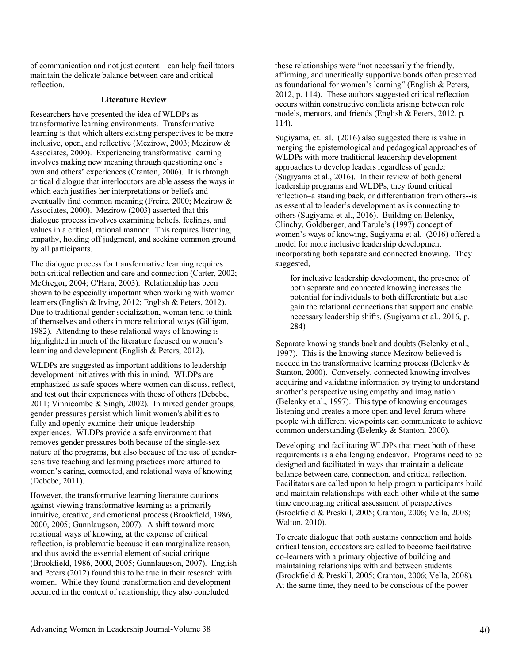of communication and not just content—can help facilitators maintain the delicate balance between care and critical reflection.

#### **Literature Review**

Researchers have presented the idea of WLDPs as transformative learning environments. Transformative learning is that which alters existing perspectives to be more inclusive, open, and reflective (Mezirow, 2003; Mezirow & Associates, 2000). Experiencing transformative learning involves making new meaning through questioning one's own and others' experiences (Cranton, 2006). It is through critical dialogue that interlocutors are able assess the ways in which each justifies her interpretations or beliefs and eventually find common meaning (Freire, 2000; Mezirow & Associates, 2000). Mezirow (2003) asserted that this dialogue process involves examining beliefs, feelings, and values in a critical, rational manner. This requires listening, empathy, holding off judgment, and seeking common ground by all participants.

The dialogue process for transformative learning requires both critical reflection and care and connection (Carter, 2002; McGregor, 2004; O'Hara, 2003). Relationship has been shown to be especially important when working with women learners (English & Irving, 2012; English & Peters, 2012). Due to traditional gender socialization, woman tend to think of themselves and others in more relational ways (Gilligan, 1982). Attending to these relational ways of knowing is highlighted in much of the literature focused on women's learning and development (English & Peters, 2012).

WLDPs are suggested as important additions to leadership development initiatives with this in mind. WLDPs are emphasized as safe spaces where women can discuss, reflect, and test out their experiences with those of others (Debebe, 2011; Vinnicombe & Singh, 2002). In mixed gender groups, gender pressures persist which limit women's abilities to fully and openly examine their unique leadership experiences. WLDPs provide a safe environment that removes gender pressures both because of the single-sex nature of the programs, but also because of the use of gendersensitive teaching and learning practices more attuned to women's caring, connected, and relational ways of knowing (Debebe, 2011).

However, the transformative learning literature cautions against viewing transformative learning as a primarily intuitive, creative, and emotional process (Brookfield, 1986, 2000, 2005; Gunnlaugson, 2007). A shift toward more relational ways of knowing, at the expense of critical reflection, is problematic because it can marginalize reason, and thus avoid the essential element of social critique (Brookfield, 1986, 2000, 2005; Gunnlaugson, 2007). English and Peters (2012) found this to be true in their research with women. While they found transformation and development occurred in the context of relationship, they also concluded

these relationships were "not necessarily the friendly, affirming, and uncritically supportive bonds often presented as foundational for women's learning" (English & Peters, 2012, p. 114). These authors suggested critical reflection occurs within constructive conflicts arising between role models, mentors, and friends (English & Peters, 2012, p. 114).

Sugiyama, et. al. (2016) also suggested there is value in merging the epistemological and pedagogical approaches of WLDPs with more traditional leadership development approaches to develop leaders regardless of gender (Sugiyama et al., 2016). In their review of both general leadership programs and WLDPs, they found critical reflection–a standing back, or differentiation from others--is as essential to leader's development as is connecting to others (Sugiyama et al., 2016). Building on Belenky, Clinchy, Goldberger, and Tarule's (1997) concept of women's ways of knowing, Sugiyama et al. (2016) offered a model for more inclusive leadership development incorporating both separate and connected knowing. They suggested,

for inclusive leadership development, the presence of both separate and connected knowing increases the potential for individuals to both differentiate but also gain the relational connections that support and enable necessary leadership shifts. (Sugiyama et al., 2016, p. 284)

Separate knowing stands back and doubts (Belenky et al., 1997). This is the knowing stance Mezirow believed is needed in the transformative learning process (Belenky & Stanton, 2000). Conversely, connected knowing involves acquiring and validating information by trying to understand another's perspective using empathy and imagination (Belenky et al., 1997). This type of knowing encourages listening and creates a more open and level forum where people with different viewpoints can communicate to achieve common understanding (Belenky & Stanton, 2000).

Developing and facilitating WLDPs that meet both of these requirements is a challenging endeavor. Programs need to be designed and facilitated in ways that maintain a delicate balance between care, connection, and critical reflection. Facilitators are called upon to help program participants build and maintain relationships with each other while at the same time encouraging critical assessment of perspectives (Brookfield & Preskill, 2005; Cranton, 2006; Vella, 2008; Walton, 2010).

To create dialogue that both sustains connection and holds critical tension, educators are called to become facilitative co-learners with a primary objective of building and maintaining relationships with and between students (Brookfield & Preskill, 2005; Cranton, 2006; Vella, 2008). At the same time, they need to be conscious of the power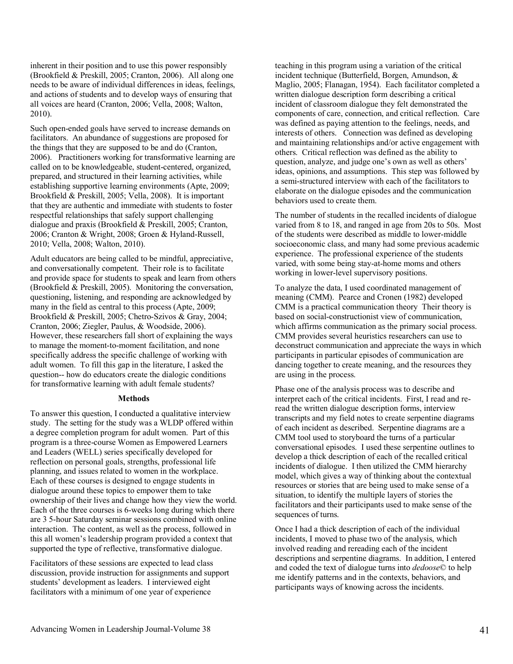inherent in their position and to use this power responsibly (Brookfield & Preskill, 2005; Cranton, 2006). All along one needs to be aware of individual differences in ideas, feelings, and actions of students and to develop ways of ensuring that all voices are heard (Cranton, 2006; Vella, 2008; Walton, 2010).

Such open-ended goals have served to increase demands on facilitators. An abundance of suggestions are proposed for the things that they are supposed to be and do (Cranton, 2006). Practitioners working for transformative learning are called on to be knowledgeable, student-centered, organized, prepared, and structured in their learning activities, while establishing supportive learning environments (Apte, 2009; Brookfield & Preskill, 2005; Vella, 2008). It is important that they are authentic and immediate with students to foster respectful relationships that safely support challenging dialogue and praxis (Brookfield & Preskill, 2005; Cranton, 2006; Cranton & Wright, 2008; Groen & Hyland-Russell, 2010; Vella, 2008; Walton, 2010).

Adult educators are being called to be mindful, appreciative, and conversationally competent. Their role is to facilitate and provide space for students to speak and learn from others (Brookfield & Preskill, 2005). Monitoring the conversation, questioning, listening, and responding are acknowledged by many in the field as central to this process (Apte, 2009; Brookfield & Preskill, 2005; Chetro-Szivos & Gray, 2004; Cranton, 2006; Ziegler, Paulus, & Woodside, 2006). However, these researchers fall short of explaining the ways to manage the moment-to-moment facilitation, and none specifically address the specific challenge of working with adult women. To fill this gap in the literature, I asked the question-- how do educators create the dialogic conditions for transformative learning with adult female students?

#### **Methods**

To answer this question, I conducted a qualitative interview study. The setting for the study was a WLDP offered within a degree completion program for adult women. Part of this program is a three-course Women as Empowered Learners and Leaders (WELL) series specifically developed for reflection on personal goals, strengths, professional life planning, and issues related to women in the workplace. Each of these courses is designed to engage students in dialogue around these topics to empower them to take ownership of their lives and change how they view the world. Each of the three courses is 6-weeks long during which there are 3 5-hour Saturday seminar sessions combined with online interaction. The content, as well as the process, followed in this all women's leadership program provided a context that supported the type of reflective, transformative dialogue.

Facilitators of these sessions are expected to lead class discussion, provide instruction for assignments and support students' development as leaders. I interviewed eight facilitators with a minimum of one year of experience

teaching in this program using a variation of the critical incident technique (Butterfield, Borgen, Amundson, & Maglio, 2005; Flanagan, 1954). Each facilitator completed a written dialogue description form describing a critical incident of classroom dialogue they felt demonstrated the components of care, connection, and critical reflection. Care was defined as paying attention to the feelings, needs, and interests of others. Connection was defined as developing and maintaining relationships and/or active engagement with others. Critical reflection was defined as the ability to question, analyze, and judge one's own as well as others' ideas, opinions, and assumptions. This step was followed by a semi-structured interview with each of the facilitators to elaborate on the dialogue episodes and the communication behaviors used to create them.

The number of students in the recalled incidents of dialogue varied from 8 to 18, and ranged in age from 20s to 50s. Most of the students were described as middle to lower-middle socioeconomic class, and many had some previous academic experience. The professional experience of the students varied, with some being stay-at-home moms and others working in lower-level supervisory positions.

To analyze the data, I used coordinated management of meaning (CMM). Pearce and Cronen (1982) developed CMM is a practical communication theory Their theory is based on social-constructionist view of communication, which affirms communication as the primary social process. CMM provides several heuristics researchers can use to deconstruct communication and appreciate the ways in which participants in particular episodes of communication are dancing together to create meaning, and the resources they are using in the process.

Phase one of the analysis process was to describe and interpret each of the critical incidents. First, I read and reread the written dialogue description forms, interview transcripts and my field notes to create serpentine diagrams of each incident as described. Serpentine diagrams are a CMM tool used to storyboard the turns of a particular conversational episodes. I used these serpentine outlines to develop a thick description of each of the recalled critical incidents of dialogue. I then utilized the CMM hierarchy model, which gives a way of thinking about the contextual resources or stories that are being used to make sense of a situation, to identify the multiple layers of stories the facilitators and their participants used to make sense of the sequences of turns.

Once I had a thick description of each of the individual incidents, I moved to phase two of the analysis, which involved reading and rereading each of the incident descriptions and serpentine diagrams. In addition, I entered and coded the text of dialogue turns into *dedoose*© to help me identify patterns and in the contexts, behaviors, and participants ways of knowing across the incidents.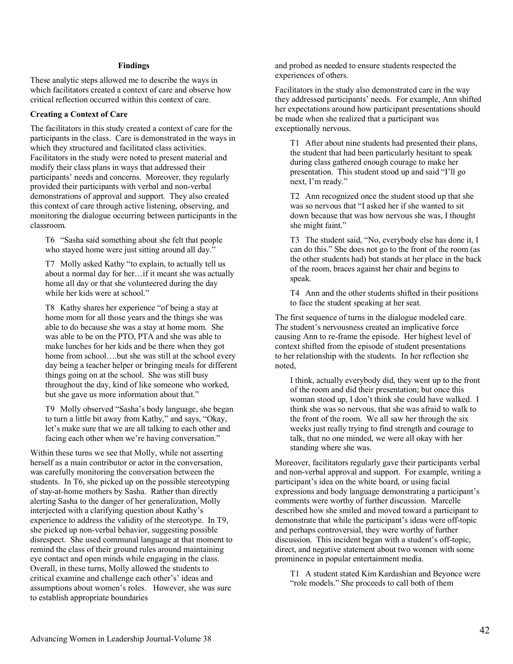#### **Findings**

These analytic steps allowed me to describe the ways in which facilitators created a context of care and observe how critical reflection occurred within this context of care.

#### **Creating a Context of Care**

The facilitators in this study created a context of care for the participants in the class. Care is demonstrated in the ways in which they structured and facilitated class activities. Facilitators in the study were noted to present material and modify their class plans in ways that addressed their participants' needs and concerns. Moreover, they regularly provided their participants with verbal and non-verbal demonstrations of approval and support. They also created this context of care through active listening, observing, and monitoring the dialogue occurring between participants in the classroom.

T6 "Sasha said something about she felt that people who stayed home were just sitting around all day."

T7 Molly asked Kathy "to explain, to actually tell us about a normal day for her…if it meant she was actually home all day or that she volunteered during the day while her kids were at school."

T8 Kathy shares her experience "of being a stay at home mom for all those years and the things she was able to do because she was a stay at home mom. She was able to be on the PTO, PTA and she was able to make lunches for her kids and be there when they got home from school….but she was still at the school every day being a teacher helper or bringing meals for different things going on at the school. She was still busy throughout the day, kind of like someone who worked, but she gave us more information about that."

T9 Molly observed "Sasha's body language, she began to turn a little bit away from Kathy," and says, "Okay, let's make sure that we are all talking to each other and facing each other when we're having conversation."

Within these turns we see that Molly, while not asserting herself as a main contributor or actor in the conversation, was carefully monitoring the conversation between the students. In T6, she picked up on the possible stereotyping of stay-at-home mothers by Sasha. Rather than directly alerting Sasha to the danger of her generalization, Molly interjected with a clarifying question about Kathy's experience to address the validity of the stereotype. In T9, she picked up non-verbal behavior, suggesting possible disrespect. She used communal language at that moment to remind the class of their ground rules around maintaining eye contact and open minds while engaging in the class. Overall, in these turns, Molly allowed the students to critical examine and challenge each other's' ideas and assumptions about women's roles. However, she was sure to establish appropriate boundaries

and probed as needed to ensure students respected the experiences of others.

Facilitators in the study also demonstrated care in the way they addressed participants' needs. For example, Ann shifted her expectations around how participant presentations should be made when she realized that a participant was exceptionally nervous.

T1 After about nine students had presented their plans, the student that had been particularly hesitant to speak during class gathered enough courage to make her presentation. This student stood up and said "I'll go next, I'm ready."

T2 Ann recognized once the student stood up that she was so nervous that "I asked her if she wanted to sit down because that was how nervous she was, I thought she might faint."

T3 The student said, "No, everybody else has done it, I can do this." She does not go to the front of the room (as the other students had) but stands at her place in the back of the room, braces against her chair and begins to speak.

T4 Ann and the other students shifted in their positions to face the student speaking at her seat.

The first sequence of turns in the dialogue modeled care. The student's nervousness created an implicative force causing Ann to re-frame the episode. Her highest level of context shifted from the episode of student presentations to her relationship with the students. In her reflection she noted,

I think, actually everybody did, they went up to the front of the room and did their presentation; but once this woman stood up, I don't think she could have walked. I think she was so nervous, that she was afraid to walk to the front of the room. We all saw her through the six weeks just really trying to find strength and courage to talk, that no one minded, we were all okay with her standing where she was.

Moreover, facilitators regularly gave their participants verbal and non-verbal approval and support. For example, writing a participant's idea on the white board, or using facial expressions and body language demonstrating a participant's comments were worthy of further discussion. Marcelle described how she smiled and moved toward a participant to demonstrate that while the participant's ideas were off-topic and perhaps controversial, they were worthy of further discussion. This incident began with a student's off-topic, direct, and negative statement about two women with some prominence in popular entertainment media.

T1 A student stated Kim Kardashian and Beyonce were "role models." She proceeds to call both of them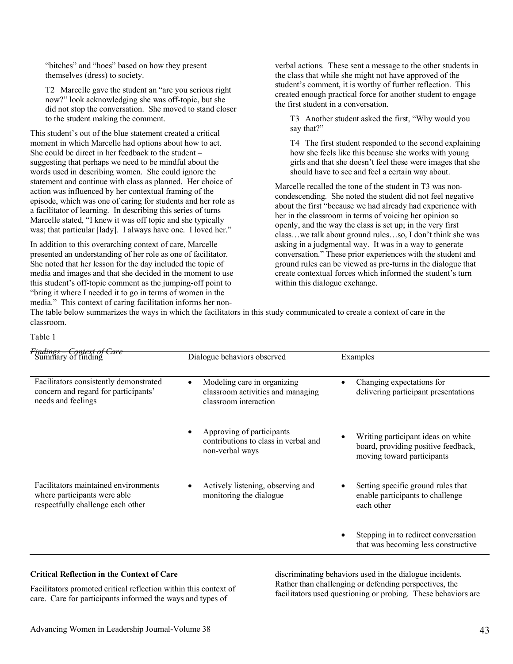"bitches" and "hoes" based on how they present themselves (dress) to society.

T2 Marcelle gave the student an "are you serious right now?" look acknowledging she was off-topic, but she did not stop the conversation. She moved to stand closer to the student making the comment.

This student's out of the blue statement created a critical moment in which Marcelle had options about how to act. She could be direct in her feedback to the student – suggesting that perhaps we need to be mindful about the words used in describing women. She could ignore the statement and continue with class as planned. Her choice of action was influenced by her contextual framing of the episode, which was one of caring for students and her role as a facilitator of learning. In describing this series of turns Marcelle stated, "I knew it was off topic and she typically was; that particular [lady]. I always have one. I loved her."

In addition to this overarching context of care, Marcelle presented an understanding of her role as one of facilitator. She noted that her lesson for the day included the topic of media and images and that she decided in the moment to use this student's off-topic comment as the jumping-off point to "bring it where I needed it to go in terms of women in the media." This context of caring facilitation informs her nonverbal actions. These sent a message to the other students in the class that while she might not have approved of the student's comment, it is worthy of further reflection. This created enough practical force for another student to engage the first student in a conversation.

T3 Another student asked the first, "Why would you say that?"

T4 The first student responded to the second explaining how she feels like this because she works with young girls and that she doesn't feel these were images that she should have to see and feel a certain way about.

Marcelle recalled the tone of the student in T3 was noncondescending. She noted the student did not feel negative about the first "because we had already had experience with her in the classroom in terms of voicing her opinion so openly, and the way the class is set up; in the very first class…we talk about ground rules…so, I don't think she was asking in a judgmental way. It was in a way to generate conversation." These prior experiences with the student and ground rules can be viewed as pre-turns in the dialogue that create contextual forces which informed the student's turn within this dialogue exchange.

The table below summarizes the ways in which the facilitators in this study communicated to create a context of care in the classroom.

Table 1

| <i>Findings – Context of Care</i><br>Summary of finding                                                   | Dialogue behaviors observed                                                                            | Examples                                                                                                |
|-----------------------------------------------------------------------------------------------------------|--------------------------------------------------------------------------------------------------------|---------------------------------------------------------------------------------------------------------|
| Facilitators consistently demonstrated<br>concern and regard for participants'<br>needs and feelings      | Modeling care in organizing<br>$\bullet$<br>classroom activities and managing<br>classroom interaction | Changing expectations for<br>delivering participant presentations                                       |
|                                                                                                           | Approving of participants<br>contributions to class in verbal and<br>non-verbal ways                   | Writing participant ideas on white<br>board, providing positive feedback,<br>moving toward participants |
| Facilitators maintained environments<br>where participants were able<br>respectfully challenge each other | Actively listening, observing and<br>monitoring the dialogue                                           | Setting specific ground rules that<br>enable participants to challenge<br>each other                    |
|                                                                                                           |                                                                                                        | Stepping in to redirect conversation<br>that was becoming less constructive                             |

#### **Critical Reflection in the Context of Care**

Facilitators promoted critical reflection within this context of care. Care for participants informed the ways and types of

discriminating behaviors used in the dialogue incidents. Rather than challenging or defending perspectives, the facilitators used questioning or probing. These behaviors are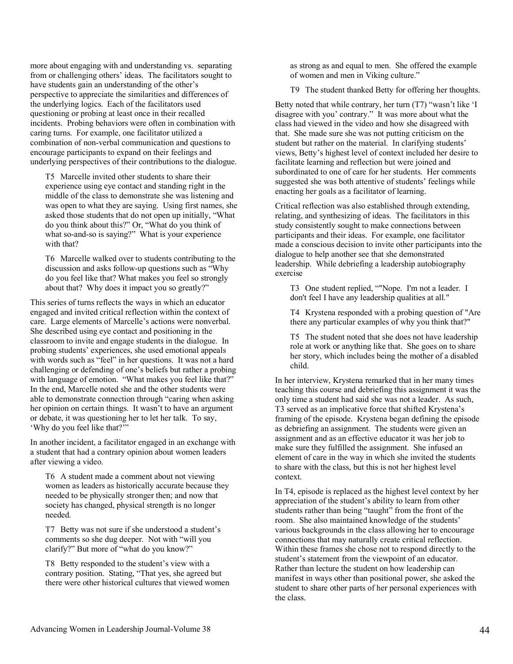more about engaging with and understanding vs. separating from or challenging others' ideas. The facilitators sought to have students gain an understanding of the other's perspective to appreciate the similarities and differences of the underlying logics. Each of the facilitators used questioning or probing at least once in their recalled incidents. Probing behaviors were often in combination with caring turns. For example, one facilitator utilized a combination of non-verbal communication and questions to encourage participants to expand on their feelings and underlying perspectives of their contributions to the dialogue.

T5 Marcelle invited other students to share their experience using eye contact and standing right in the middle of the class to demonstrate she was listening and was open to what they are saying. Using first names, she asked those students that do not open up initially, "What do you think about this?" Or, "What do you think of what so-and-so is saying?" What is your experience with that?

T6 Marcelle walked over to students contributing to the discussion and asks follow-up questions such as "Why do you feel like that? What makes you feel so strongly about that? Why does it impact you so greatly?"

This series of turns reflects the ways in which an educator engaged and invited critical reflection within the context of care. Large elements of Marcelle's actions were nonverbal. She described using eye contact and positioning in the classroom to invite and engage students in the dialogue. In probing students' experiences, she used emotional appeals with words such as "feel" in her questions. It was not a hard challenging or defending of one's beliefs but rather a probing with language of emotion. "What makes you feel like that?" In the end, Marcelle noted she and the other students were able to demonstrate connection through "caring when asking her opinion on certain things. It wasn't to have an argument or debate, it was questioning her to let her talk. To say, 'Why do you feel like that?'"

In another incident, a facilitator engaged in an exchange with a student that had a contrary opinion about women leaders after viewing a video.

T6 A student made a comment about not viewing women as leaders as historically accurate because they needed to be physically stronger then; and now that society has changed, physical strength is no longer needed.

T7 Betty was not sure if she understood a student's comments so she dug deeper. Not with "will you clarify?" But more of "what do you know?"

T8 Betty responded to the student's view with a contrary position. Stating, "That yes, she agreed but there were other historical cultures that viewed women

as strong as and equal to men. She offered the example of women and men in Viking culture."

T9 The student thanked Betty for offering her thoughts.

Betty noted that while contrary, her turn (T7) "wasn't like 'I disagree with you' contrary." It was more about what the class had viewed in the video and how she disagreed with that. She made sure she was not putting criticism on the student but rather on the material. In clarifying students' views, Betty's highest level of context included her desire to facilitate learning and reflection but were joined and subordinated to one of care for her students. Her comments suggested she was both attentive of students' feelings while enacting her goals as a facilitator of learning.

Critical reflection was also established through extending, relating, and synthesizing of ideas. The facilitators in this study consistently sought to make connections between participants and their ideas. For example, one facilitator made a conscious decision to invite other participants into the dialogue to help another see that she demonstrated leadership. While debriefing a leadership autobiography exercise

T3 One student replied, ""Nope. I'm not a leader. I don't feel I have any leadership qualities at all."

T4 Krystena responded with a probing question of "Are there any particular examples of why you think that?"

T5 The student noted that she does not have leadership role at work or anything like that. She goes on to share her story, which includes being the mother of a disabled child.

In her interview, Krystena remarked that in her many times teaching this course and debriefing this assignment it was the only time a student had said she was not a leader. As such, T3 served as an implicative force that shifted Krystena's framing of the episode. Krystena began defining the episode as debriefing an assignment. The students were given an assignment and as an effective educator it was her job to make sure they fulfilled the assignment. She infused an element of care in the way in which she invited the students to share with the class, but this is not her highest level context.

In T4, episode is replaced as the highest level context by her appreciation of the student's ability to learn from other students rather than being "taught" from the front of the room. She also maintained knowledge of the students' various backgrounds in the class allowing her to encourage connections that may naturally create critical reflection. Within these frames she chose not to respond directly to the student's statement from the viewpoint of an educator. Rather than lecture the student on how leadership can manifest in ways other than positional power, she asked the student to share other parts of her personal experiences with the class.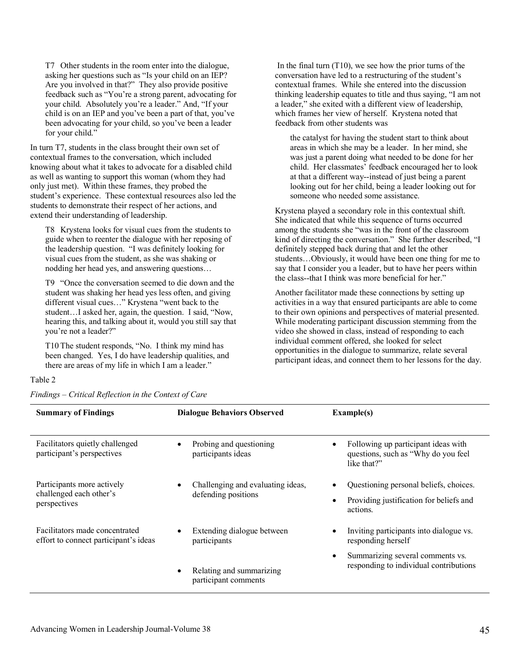T7 Other students in the room enter into the dialogue, asking her questions such as "Is your child on an IEP? Are you involved in that?" They also provide positive feedback such as "You're a strong parent, advocating for your child. Absolutely you're a leader." And, "If your child is on an IEP and you've been a part of that, you've been advocating for your child, so you've been a leader for your child."

In turn T7, students in the class brought their own set of contextual frames to the conversation, which included knowing about what it takes to advocate for a disabled child as well as wanting to support this woman (whom they had only just met). Within these frames, they probed the student's experience. These contextual resources also led the students to demonstrate their respect of her actions, and extend their understanding of leadership.

T8 Krystena looks for visual cues from the students to guide when to reenter the dialogue with her reposing of the leadership question. "I was definitely looking for visual cues from the student, as she was shaking or nodding her head yes, and answering questions…

T9 "Once the conversation seemed to die down and the student was shaking her head yes less often, and giving different visual cues…" Krystena "went back to the student…I asked her, again, the question. I said, "Now, hearing this, and talking about it, would you still say that you're not a leader?"

T10 The student responds, "No. I think my mind has been changed. Yes, I do have leadership qualities, and there are areas of my life in which I am a leader."

In the final turn  $(T10)$ , we see how the prior turns of the conversation have led to a restructuring of the student's contextual frames. While she entered into the discussion thinking leadership equates to title and thus saying, "I am not a leader," she exited with a different view of leadership, which frames her view of herself. Krystena noted that feedback from other students was

the catalyst for having the student start to think about areas in which she may be a leader. In her mind, she was just a parent doing what needed to be done for her child. Her classmates' feedback encouraged her to look at that a different way--instead of just being a parent looking out for her child, being a leader looking out for someone who needed some assistance.

Krystena played a secondary role in this contextual shift. She indicated that while this sequence of turns occurred among the students she "was in the front of the classroom kind of directing the conversation." She further described, "I definitely stepped back during that and let the other students…Obviously, it would have been one thing for me to say that I consider you a leader, but to have her peers within the class--that I think was more beneficial for her."

Another facilitator made these connections by setting up activities in a way that ensured participants are able to come to their own opinions and perspectives of material presented. While moderating participant discussion stemming from the video she showed in class, instead of responding to each individual comment offered, she looked for select opportunities in the dialogue to summarize, relate several participant ideas, and connect them to her lessons for the day.

#### Table 2

*Findings – Critical Reflection in the Context of Care*

| <b>Summary of Findings</b>                                              | <b>Dialogue Behaviors Observed</b>                       | <b>Example(s)</b>                                                                                          |
|-------------------------------------------------------------------------|----------------------------------------------------------|------------------------------------------------------------------------------------------------------------|
| Facilitators quietly challenged<br>participant's perspectives           | Probing and questioning<br>participants ideas            | Following up participant ideas with<br>٠<br>questions, such as "Why do you feel<br>like that?"             |
| Participants more actively<br>challenged each other's<br>perspectives   | Challenging and evaluating ideas,<br>defending positions | Questioning personal beliefs, choices.<br>Providing justification for beliefs and<br>$\bullet$<br>actions. |
| Facilitators made concentrated<br>effort to connect participant's ideas | Extending dialogue between<br>participants               | Inviting participants into dialogue vs.<br>responding herself                                              |
|                                                                         | Relating and summarizing<br>participant comments         | Summarizing several comments vs.<br>$\bullet$<br>responding to individual contributions                    |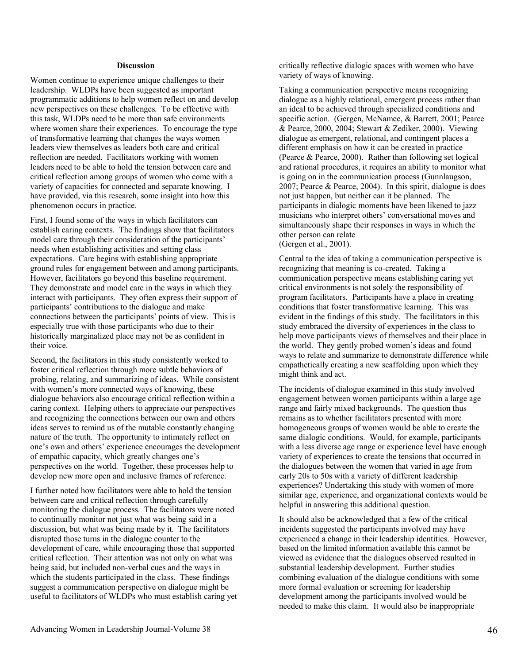#### **Discussion**

Women continue to experience unique challenges to their leadership. WLDPs have been suggested as important programmatic additions to help women reflect on and develop new perspectives on these challenges. To be effective with this task, WLDPs need to be more than safe environments where women share their experiences. To encourage the type of transformative learning that changes the ways women leaders view themselves as leaders both care and critical reflection are needed. Facilitators working with women leaders need to be able to hold the tension between care and critical reflection among groups of women who come with a variety of capacities for connected and separate knowing. I have provided, via this research, some insight into how this phenomenon occurs in practice.

First, I found some of the ways in which facilitators can establish caring contexts. The findings show that facilitators model care through their consideration of the participants' needs when establishing activities and setting class expectations. Care begins with establishing appropriate ground rules for engagement between and among participants. However, facilitators go beyond this baseline requirement. They demonstrate and model care in the ways in which they interact with participants. They often express their support of participants' contributions to the dialogue and make connections between the participants' points of view. This is especially true with those participants who due to their historically marginalized place may not be as confident in their voice.

Second, the facilitators in this study consistently worked to foster critical reflection through more subtle behaviors of probing, relating, and summarizing of ideas. While consistent with women's more connected ways of knowing, these dialogue behaviors also encourage critical reflection within a caring context. Helping others to appreciate our perspectives and recognizing the connections between our own and others ideas serves to remind us of the mutable constantly changing nature of the truth. The opportunity to intimately reflect on one's own and others' experience encourages the development of empathic capacity, which greatly changes one's perspectives on the world. Together, these processes help to develop new more open and inclusive frames of reference.

I further noted how facilitators were able to hold the tension between care and critical reflection through carefully monitoring the dialogue process. The facilitators were noted to continually monitor not just what was being said in a discussion, but what was being made by it. The facilitators disrupted those turns in the dialogue counter to the development of care, while encouraging those that supported critical reflection. Their attention was not only on what was being said, but included non-verbal cues and the ways in which the students participated in the class. These findings suggest a communication perspective on dialogue might be useful to facilitators of WLDPs who must establish caring yet critically reflective dialogic spaces with women who have variety of ways of knowing.

Taking a communication perspective means recognizing dialogue as a highly relational, emergent process rather than an ideal to be achieved through specialized conditions and specific action. (Gergen, McNamee, & Barrett, 2001; Pearce & Pearce, 2000, 2004; Stewart & Zediker, 2000). Viewing dialogue as emergent, relational, and contingent places a different emphasis on how it can be created in practice (Pearce & Pearce, 2000). Rather than following set logical and rational procedures, it requires an ability to monitor what is going on in the communication process (Gunnlaugson, 2007; Pearce & Pearce, 2004). In this spirit, dialogue is does not just happen, but neither can it be planned. The participants in dialogic moments have been likened to jazz musicians who interpret others' conversational moves and simultaneously shape their responses in ways in which the other person can relate (Gergen et al., 2001).

Central to the idea of taking a communication perspective is recognizing that meaning is co-created. Taking a communication perspective means establishing caring yet critical environments is not solely the responsibility of program facilitators. Participants have a place in creating conditions that foster transformative learning. This was evident in the findings of this study. The facilitators in this study embraced the diversity of experiences in the class to help move participants views of themselves and their place in the world. They gently probed women's ideas and found ways to relate and summarize to demonstrate difference while empathetically creating a new scaffolding upon which they might think and act.

The incidents of dialogue examined in this study involved engagement between women participants within a large age range and fairly mixed backgrounds. The question thus remains as to whether facilitators presented with more homogeneous groups of women would be able to create the same dialogic conditions. Would, for example, participants with a less diverse age range or experience level have enough variety of experiences to create the tensions that occurred in the dialogues between the women that varied in age from early 20s to 50s with a variety of different leadership experiences? Undertaking this study with women of more similar age, experience, and organizational contexts would be helpful in answering this additional question.

It should also be acknowledged that a few of the critical incidents suggested the participants involved may have experienced a change in their leadership identities. However, based on the limited information available this cannot be viewed as evidence that the dialogues observed resulted in substantial leadership development. Further studies combining evaluation of the dialogue conditions with some more formal evaluation or screening for leadership development among the participants involved would be needed to make this claim. It would also be inappropriate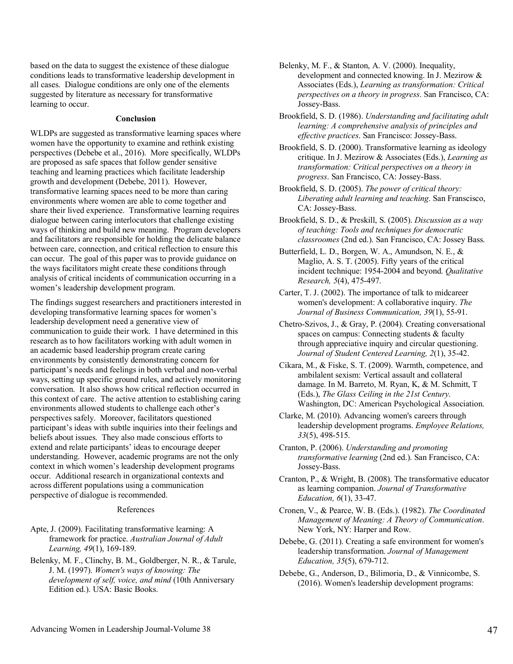based on the data to suggest the existence of these dialogue conditions leads to transformative leadership development in all cases. Dialogue conditions are only one of the elements suggested by literature as necessary for transformative learning to occur.

#### **Conclusion**

WLDPs are suggested as transformative learning spaces where women have the opportunity to examine and rethink existing perspectives (Debebe et al., 2016). More specifically, WLDPs are proposed as safe spaces that follow gender sensitive teaching and learning practices which facilitate leadership growth and development (Debebe, 2011). However, transformative learning spaces need to be more than caring environments where women are able to come together and share their lived experience. Transformative learning requires dialogue between caring interlocutors that challenge existing ways of thinking and build new meaning. Program developers and facilitators are responsible for holding the delicate balance between care, connection, and critical reflection to ensure this can occur. The goal of this paper was to provide guidance on the ways facilitators might create these conditions through analysis of critical incidents of communication occurring in a women's leadership development program.

The findings suggest researchers and practitioners interested in developing transformative learning spaces for women's leadership development need a generative view of communication to guide their work. I have determined in this research as to how facilitators working with adult women in an academic based leadership program create caring environments by consistently demonstrating concern for participant's needs and feelings in both verbal and non-verbal ways, setting up specific ground rules, and actively monitoring conversation. It also shows how critical reflection occurred in this context of care. The active attention to establishing caring environments allowed students to challenge each other's perspectives safely. Moreover, facilitators questioned participant's ideas with subtle inquiries into their feelings and beliefs about issues. They also made conscious efforts to extend and relate participants' ideas to encourage deeper understanding. However, academic programs are not the only context in which women's leadership development programs occur. Additional research in organizational contexts and across different populations using a communication perspective of dialogue is recommended.

#### References

- Apte, J. (2009). Facilitating transformative learning: A framework for practice. *Australian Journal of Adult Learning, 49*(1), 169-189.
- Belenky, M. F., Clinchy, B. M., Goldberger, N. R., & Tarule, J. M. (1997). *Women's ways of knowing: The development of self, voice, and mind* (10th Anniversary Edition ed.). USA: Basic Books.
- Belenky, M. F., & Stanton, A. V. (2000). Inequality, development and connected knowing. In J. Mezirow & Associates (Eds.), *Learning as transformation: Critical perspectives on a theory in progress*. San Francisco, CA: Jossey-Bass.
- Brookfield, S. D. (1986). *Understanding and facilitating adult learning: A comprehensive analysis of principles and effective practices*. San Francisco: Jossey-Bass.
- Brookfield, S. D. (2000). Transformative learning as ideology critique. In J. Mezirow & Associates (Eds.), *Learning as transformation: Critical perspectives on a theory in progress*. San Francisco, CA: Jossey-Bass.
- Brookfield, S. D. (2005). *The power of critical theory: Liberating adult learning and teaching*. San Franscisco, CA: Jossey-Bass.
- Brookfield, S. D., & Preskill, S. (2005). *Discussion as a way of teaching: Tools and techniques for democratic classroomes* (2nd ed.). San Francisco, CA: Jossey Bass.
- Butterfield, L. D., Borgen, W. A., Amundson, N. E., & Maglio, A. S. T. (2005). Fifty years of the critical incident technique: 1954-2004 and beyond. *Qualitative Research, 5*(4), 475-497.
- Carter, T. J. (2002). The importance of talk to midcareer women's development: A collaborative inquiry. *The Journal of Business Communication, 39*(1), 55-91.
- Chetro-Szivos, J., & Gray, P. (2004). Creating conversational spaces on campus: Connecting students & faculty through appreciative inquiry and circular questioning. *Journal of Student Centered Learning, 2*(1), 35-42.
- Cikara, M., & Fiske, S. T. (2009). Warmth, competence, and ambilalent sexism: Vertical assault and collateral damage. In M. Barreto, M. Ryan, K, & M. Schmitt, T (Eds.), *The Glass Ceiling in the 21st Century*. Washington, DC: American Psychological Association.
- Clarke, M. (2010). Advancing women's careers through leadership development programs. *Employee Relations, 33*(5), 498-515.
- Cranton, P. (2006). *Understanding and promoting transformative learning* (2nd ed.). San Francisco, CA: Jossey-Bass.
- Cranton, P., & Wright, B. (2008). The transformative educator as learning companion. *Journal of Transformative Education, 6*(1), 33-47.
- Cronen, V., & Pearce, W. B. (Eds.). (1982). *The Coordinated Management of Meaning: A Theory of Communication*. New York, NY: Harper and Row.
- Debebe, G. (2011). Creating a safe environment for women's leadership transformation. *Journal of Management Education, 35*(5), 679-712.
- Debebe, G., Anderson, D., Bilimoria, D., & Vinnicombe, S. (2016). Women's leadership development programs: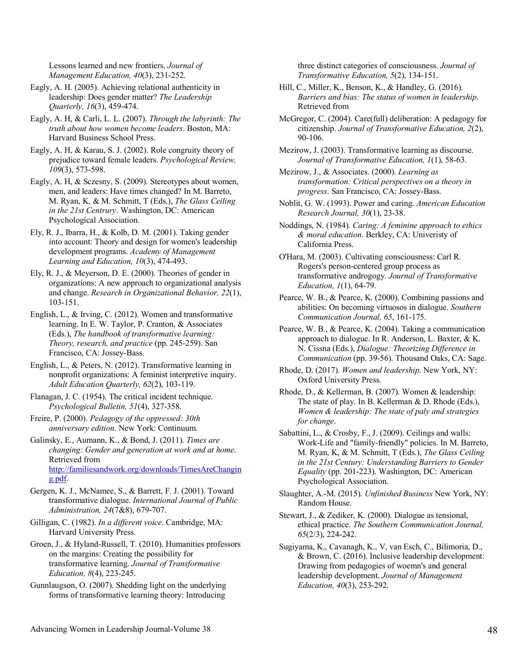Lessons learned and new frontiers. *Journal of Management Education, 40*(3), 231-252.

- Eagly, A. H. (2005). Achieving relational authenticity in leadership: Does gender matter? *The Leadership Quarterly, 16*(3), 459-474.
- Eagly, A. H, & Carli, L. L. (2007). *Through the labyrinth: The truth about how women become leaders*. Boston, MA: Harvard Business School Press.
- Eagly, A. H, & Karau, S. J. (2002). Role congruity theory of prejudice toward female leaders. *Psychological Review, 109*(3), 573-598.
- Eagly, A. H, & Sczesny, S. (2009). Stereotypes about women, men, and leaders: Have times changed? In M. Barreto, M. Ryan, K, & M. Schmitt, T (Eds.), *The Glass Ceiling in the 21st Centrury*. Washington, DC: American Psychological Association.
- Ely, R. J., Ibarra, H., & Kolb, D. M. (2001). Taking gender into account: Theory and design for women's leadership development programs. *Academy of Management Learning and Education, 10*(3), 474-493.
- Ely, R. J., & Meyerson, D. E. (2000). Theories of gender in organizations: A new approach to organizational analysis and change. *Research in Organizational Behavior, 22*(1), 103-151.
- English, L., & Irving, C. (2012). Women and transformative learning. In E. W. Taylor, P. Cranton, & Associates (Eds.), *The handbook of transformative learning: Theory, research, and practice* (pp. 245-259). San Francisco, CA: Jossey-Bass.
- English, L., & Peters, N. (2012). Transformative learning in nonprofit organizations: A feminist interpretive inquiry. *Adult Education Quarterly, 62*(2), 103-119.
- Flanagan, J. C. (1954). The critical incident technique. *Psychological Bulletin, 51*(4), 327-358.
- Freire, P. (2000). *Pedagogy of the oppressed: 30th anniversary edition*. New York: Continuum.
- Galinsky, E., Aumann, K., & Bond, J. (2011). *Times are changing: Gender and generation at work and at home*. Retrieved from http://familiesandwork.org/downloads/TimesAreChangin g.pdf.
- Gergen, K. J., McNamee, S., & Barrett, F. J. (2001). Toward transformative dialogue. *International Journal of Public Administration, 24*(7&8), 679-707.
- Gilligan, C. (1982). *In a different voice*. Cambridge, MA: Harvard University Press.
- Groen, J., & Hyland-Russell, T. (2010). Humanities professors on the margins: Creating the possibility for transformative learning. *Journal of Transformative Education, 8*(4), 223-245.
- Gunnlaugson, O. (2007). Shedding light on the underlying forms of transformative learning theory: Introducing

three distinct categories of consciousness. *Journal of Transformative Education, 5*(2), 134-151.

- Hill, C., Miller, K., Benson, K., & Handley, G. (2016). *Barriers and bias: The status of women in leadership*. Retrieved from
- McGregor, C. (2004). Care(full) deliberation: A pedagogy for citizenship. *Journal of Transformative Education, 2*(2), 90-106.
- Mezirow, J. (2003). Transformative learning as discourse. *Journal of Transformative Education, 1*(1), 58-63.
- Mezirow, J., & Associates. (2000). *Learning as transformation: Critical perspectives on a theory in progress*. San Francisco, CA: Jossey-Bass.
- Noblit, G. W. (1993). Power and caring. *American Education Research Journal, 30*(1), 23-38.
- Noddings, N. (1984). *Caring: A feminine approach to ethics & moral education*. Berkley, CA: Univeristy of California Press.
- O'Hara, M. (2003). Cultivating consciousness: Carl R. Rogers's person-centered group process as transformative androgogy. *Journal of Transformative Education, 1*(1), 64-79.
- Pearce, W. B., & Pearce, K. (2000). Combining passions and abilities: On becoming virtuosos in dialogue. *Southern Communication Journal, 65*, 161-175.
- Pearce, W. B., & Pearce, K. (2004). Taking a communication approach to dialogue. In R. Anderson, L. Baxter, & K. N. Cissna (Eds.), *Dialogue: Theorizing Difference in Communication* (pp. 39-56). Thousand Oaks, CA: Sage.
- Rhode, D. (2017). *Women and leadership*. New York, NY: Oxford University Press.
- Rhode, D., & Kellerman, B. (2007). Women & leadership: The state of play. In B. Kellerman & D. Rhode (Eds.), *Women & leadership: The state of paly and strategies for change*.
- Sabattini, L., & Crosby, F., J. (2009). Ceilings and walls: Work-Life and "family-friendly" policies. In M. Barreto, M. Ryan, K, & M. Schmitt, T (Eds.), *The Glass Ceiling in the 21st Century: Understanding Barriers to Gender Equality* (pp. 201-223). Washington, DC: American Psychological Association.
- Slaughter, A.-M. (2015). *Unfinished Business* New York, NY: Random House.
- Stewart, J., & Zediker, K. (2000). Dialogue as tensional, ethical practice. *The Southern Communication Journal, 65*(2/3), 224-242.
- Sugiyama, K., Cavanagh, K., V, van Esch, C., Bilimoria, D., & Brown, C. (2016). Inclusive leadership development: Drawing from pedagogies of woemn's and general leadership development. *Journal of Management Education, 40*(3), 253-292.